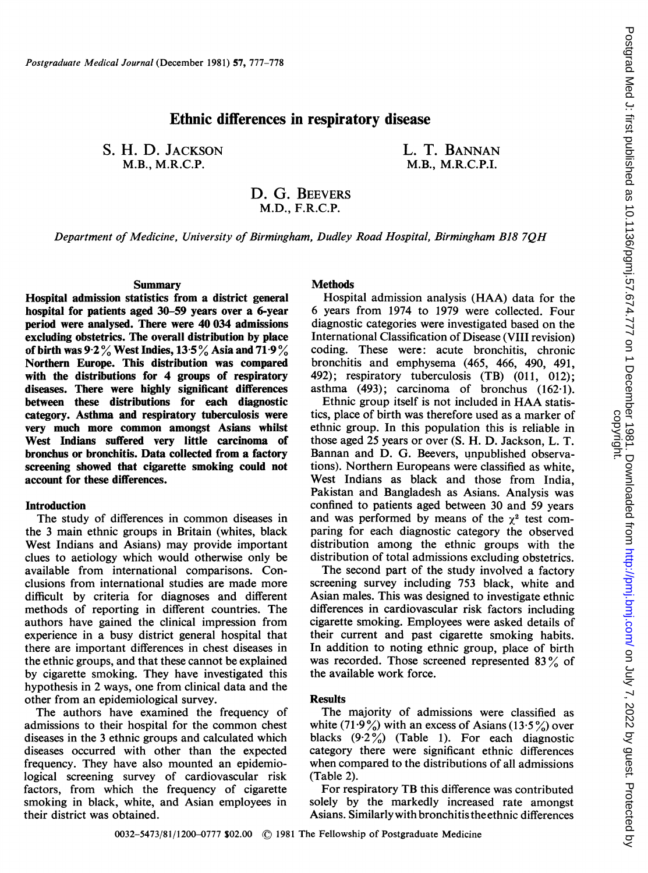# Ethnic differences in respiratory disease

S. H. D. JACKSON M.B., M.R.C.P.

L. T. BANNAN M.B., M.R.C.P.I.

D. G. BEEVERS M.D., F.R.C.P.

Department of Medicine, University of Birmingham, Dudley Road Hospital, Birmingham B18 7QH

### Summary

Hospital admission statistics from a district general hospital for patients aged 30-59 years over a 6-year period were analysed. There were 40 034 admissions excluding obstetrics. The overall distribution by place of birth was  $9.2\%$  West Indies,  $13.5\%$  Asia and  $71.9\%$ Northern Europe. This distribution was compared with the distributions for 4 groups of respiratory diseases. There were highly significant differences between these distributions for each diagnostic category. Asthma and respiratory tuberculosis were very much more common amongst Asians whilst West Indians suffered very little carcinoma of bronchus or bronchitis. Data collected from a factory screening showed that cigarette smoking could not account for these differences.

#### **Introduction**

The study of differences in common diseases in the 3 main ethnic groups in Britain (whites, black West Indians and Asians) may provide important clues to aetiology which would otherwise only be available from international comparisons. Conclusions from international studies are made more difficult by criteria for diagnoses and different methods of reporting in different countries. The authors have gained the clinical impression from experience in a busy district general hospital that there are important differences in chest diseases in the ethnic groups, and that these cannot be explained by cigarette smoking. They have investigated this hypothesis in 2 ways, one from clinical data and the other from an epidemiological survey.

The authors have examined the frequency of admissions to their hospital for the common chest diseases in the 3 ethnic groups and calculated which diseases occurred with other than the expected frequency. They have also mounted an epidemiological screening survey of cardiovascular risk factors, from which the frequency of cigarette smoking in black, white, and Asian employees in their district was obtained.

## **Methods**

Hospital admission analysis (HAA) data for the 6 years from 1974 to 1979 were collected. Four diagnostic categories were investigated based on the International Classification of Disease (VIII revision) coding. These were: acute bronchitis, chronic bronchitis and emphysema (465, 466, 490, 491, 492); respiratory tuberculosis (TB) (011, 012); asthma (493); carcinoma of bronchus (162-1).

Ethnic group itself is not included in HAA statistics, place of birth was therefore used as a marker of ethnic group. In this population this is reliable in those aged 25 years or over (S. H. D. Jackson, L. T. Bannan and D. G. Beevers, unpublished observations). Northern Europeans were classified as white, West Indians as black and those from India. Pakistan and Bangladesh as Asians. Analysis was confined to patients aged between 30 and 59 years and was performed by means of the  $\chi^2$  test comparing for each diagnostic category the observed distribution among the ethnic groups with the distribution of total admissions excluding obstetrics.

The second part of the study involved a factory screening survey including 753 black, white and Asian males. This was designed to investigate ethnic differences in cardiovascular risk factors including cigarette smoking. Employees were asked details of their current and past cigarette smoking habits. In addition to noting ethnic group, place of birth was recorded. Those screened represented 83% of the available work force.

## **Results**

The majority of admissions were classified as white (71.9%) with an excess of Asians (13.5%) over blacks  $(9.2\%)$  (Table 1). For each diagnostic category there were significant ethnic differences when compared to the distributions of all admissions (Table 2).

For respiratory TB this difference was contributed solely by the markedly increased rate amongst Asians. Similarly with bronchitis the ethnic differences